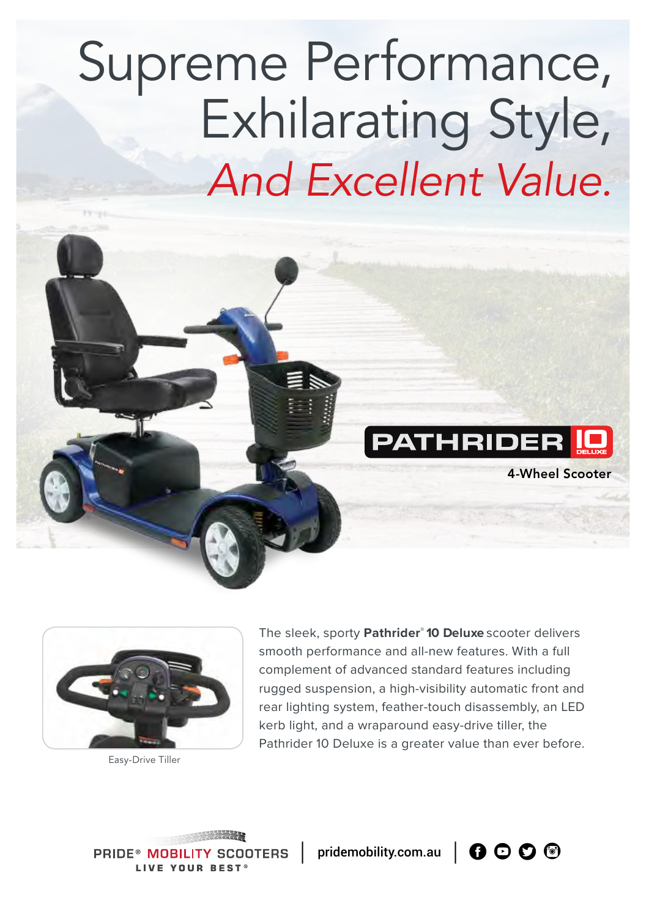# Supreme Performance, Exhilarating Style, *And Excellent Value.*





Easy-Drive Tiller

The sleek, sporty **Pathrider® 10 Deluxe** scooter delivers smooth performance and all-new features. With a full complement of advanced standard features including rugged suspension, a high-visibility automatic front and rear lighting system, feather-touch disassembly, an LED kerb light, and a wraparound easy-drive tiller, the Pathrider 10 Deluxe is a greater value than ever before.

**PRIDE® MOB IOTERS I IVE YOUR REST** 

pridemobility.com.au  $\bigcap$   $\bigcirc$   $\bigcirc$   $\bigcirc$   $\bigcirc$